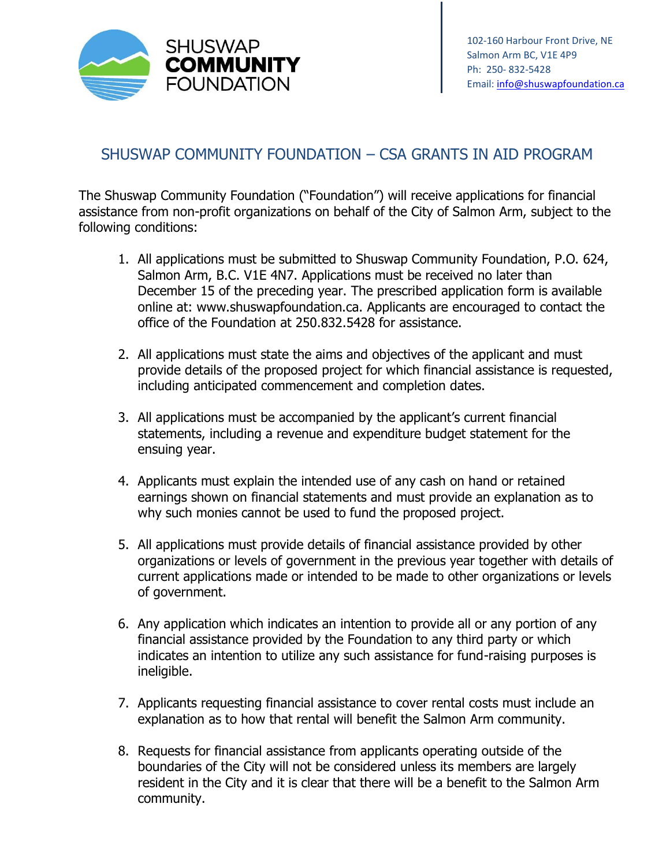

## SHUSWAP COMMUNITY FOUNDATION – CSA GRANTS IN AID PROGRAM

The Shuswap Community Foundation ("Foundation") will receive applications for financial assistance from non-profit organizations on behalf of the City of Salmon Arm, subject to the following conditions:

- 1. All applications must be submitted to Shuswap Community Foundation, P.O. 624, Salmon Arm, B.C. V1E 4N7. Applications must be received no later than December 15 of the preceding year. The prescribed application form is available online at: www.shuswapfoundation.ca. Applicants are encouraged to contact the office of the Foundation at 250.832.5428 for assistance.
- 2. All applications must state the aims and objectives of the applicant and must provide details of the proposed project for which financial assistance is requested, including anticipated commencement and completion dates.
- 3. All applications must be accompanied by the applicant's current financial statements, including a revenue and expenditure budget statement for the ensuing year.
- 4. Applicants must explain the intended use of any cash on hand or retained earnings shown on financial statements and must provide an explanation as to why such monies cannot be used to fund the proposed project.
- 5. All applications must provide details of financial assistance provided by other organizations or levels of government in the previous year together with details of current applications made or intended to be made to other organizations or levels of government.
- 6. Any application which indicates an intention to provide all or any portion of any financial assistance provided by the Foundation to any third party or which indicates an intention to utilize any such assistance for fund-raising purposes is ineligible.
- 7. Applicants requesting financial assistance to cover rental costs must include an explanation as to how that rental will benefit the Salmon Arm community.
- 8. Requests for financial assistance from applicants operating outside of the boundaries of the City will not be considered unless its members are largely resident in the City and it is clear that there will be a benefit to the Salmon Arm community.